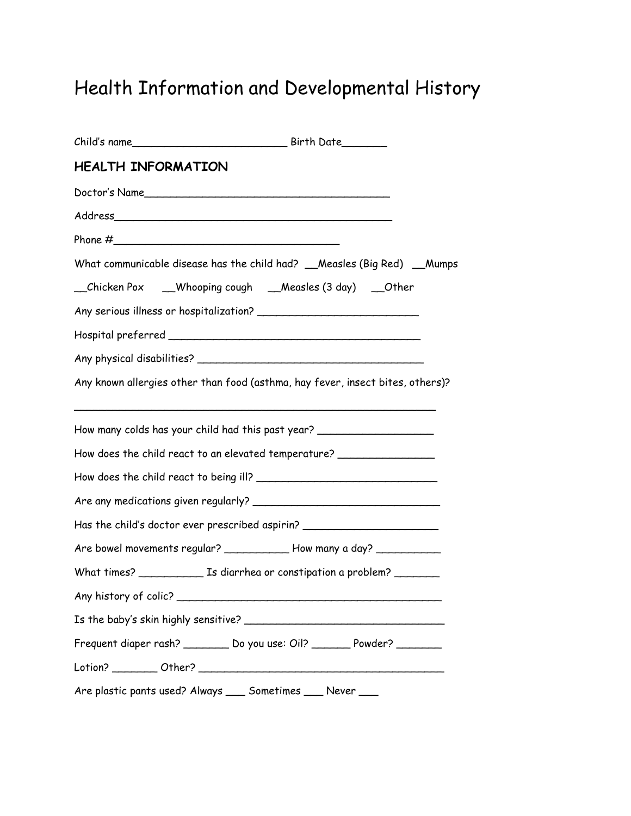## Health Information and Developmental History

| <b>HEALTH INFORMATION</b> |                                                                                  |
|---------------------------|----------------------------------------------------------------------------------|
|                           | Doctor's Name                                                                    |
|                           | Address                                                                          |
|                           |                                                                                  |
|                           | What communicable disease has the child had? __Measles (Big Red) __Mumps         |
|                           | _Chicken Pox __Whooping cough __Measles (3 day) __Other                          |
|                           |                                                                                  |
|                           |                                                                                  |
|                           |                                                                                  |
|                           | Any known allergies other than food (asthma, hay fever, insect bites, others)?   |
|                           | How many colds has your child had this past year? ______________________________ |
|                           | How does the child react to an elevated temperature? ___________________________ |
|                           |                                                                                  |
|                           |                                                                                  |
|                           | Has the child's doctor ever prescribed aspirin? ________________________________ |
|                           | Are bowel movements regular? _____________ How many a day? ____________          |
|                           |                                                                                  |
|                           |                                                                                  |
|                           |                                                                                  |
|                           | Frequent diaper rash? _________ Do you use: Oil? _______ Powder? ________        |
|                           |                                                                                  |
|                           | Are plastic pants used? Always ____ Sometimes ____ Never ____                    |